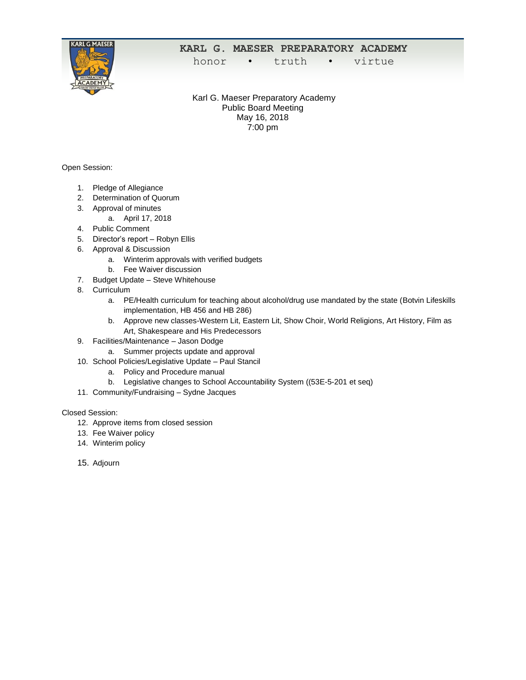

## **KARL G. MAESER PREPARATORY ACADEMY**

honor • truth • virtue

Karl G. Maeser Preparatory Academy Public Board Meeting May 16, 2018 7:00 pm

Open Session:

- 1. Pledge of Allegiance
- 2. Determination of Quorum
- 3. Approval of minutes
	- a. April 17, 2018
- 4. Public Comment
- 5. Director's report Robyn Ellis
- 6. Approval & Discussion
	- a. Winterim approvals with verified budgets
	- b. Fee Waiver discussion
- 7. Budget Update Steve Whitehouse
- 8. Curriculum
	- a. PE/Health curriculum for teaching about alcohol/drug use mandated by the state (Botvin Lifeskills implementation, HB 456 and HB 286)
	- b. Approve new classes-Western Lit, Eastern Lit, Show Choir, World Religions, Art History, Film as Art, Shakespeare and His Predecessors
- 9. Facilities/Maintenance Jason Dodge
	- a. Summer projects update and approval
- 10. School Policies/Legislative Update Paul Stancil
	- a. Policy and Procedure manual
	- b. Legislative changes to School Accountability System ((53E-5-201 et seq)
- 11. Community/Fundraising Sydne Jacques

## Closed Session:

- 12. Approve items from closed session
- 13. Fee Waiver policy
- 14. Winterim policy
- 15. Adjourn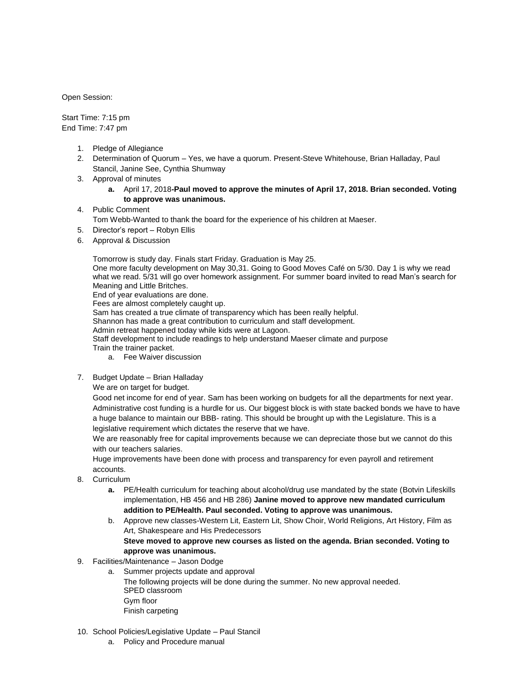Open Session:

Start Time: 7:15 pm End Time: 7:47 pm

- 1. Pledge of Allegiance
- 2. Determination of Quorum Yes, we have a quorum. Present-Steve Whitehouse, Brian Halladay, Paul Stancil, Janine See, Cynthia Shumway
- 3. Approval of minutes
	- **a.** April 17, 2018**-Paul moved to approve the minutes of April 17, 2018. Brian seconded. Voting to approve was unanimous.**

## 4. Public Comment

Tom Webb-Wanted to thank the board for the experience of his children at Maeser.

- 5. Director's report Robyn Ellis
- 6. Approval & Discussion

Tomorrow is study day. Finals start Friday. Graduation is May 25.

One more faculty development on May 30,31. Going to Good Moves Café on 5/30. Day 1 is why we read what we read. 5/31 will go over homework assignment. For summer board invited to read Man's search for Meaning and Little Britches.

End of year evaluations are done.

Fees are almost completely caught up.

Sam has created a true climate of transparency which has been really helpful.

Shannon has made a great contribution to curriculum and staff development.

Admin retreat happened today while kids were at Lagoon.

Staff development to include readings to help understand Maeser climate and purpose

Train the trainer packet.

- a. Fee Waiver discussion
- 7. Budget Update Brian Halladay

We are on target for budget.

Good net income for end of year. Sam has been working on budgets for all the departments for next year. Administrative cost funding is a hurdle for us. Our biggest block is with state backed bonds we have to have a huge balance to maintain our BBB- rating. This should be brought up with the Legislature. This is a legislative requirement which dictates the reserve that we have.

We are reasonably free for capital improvements because we can depreciate those but we cannot do this with our teachers salaries.

Huge improvements have been done with process and transparency for even payroll and retirement accounts.

- 8. Curriculum
	- **a.** PE/Health curriculum for teaching about alcohol/drug use mandated by the state (Botvin Lifeskills implementation, HB 456 and HB 286) **Janine moved to approve new mandated curriculum addition to PE/Health. Paul seconded. Voting to approve was unanimous.**
	- b. Approve new classes-Western Lit, Eastern Lit, Show Choir, World Religions, Art History, Film as Art, Shakespeare and His Predecessors **Steve moved to approve new courses as listed on the agenda. Brian seconded. Voting to approve was unanimous.**
- 9. Facilities/Maintenance Jason Dodge
	- a. Summer projects update and approval The following projects will be done during the summer. No new approval needed. SPED classroom Gym floor Finish carpeting
- 10. School Policies/Legislative Update Paul Stancil
	- a. Policy and Procedure manual